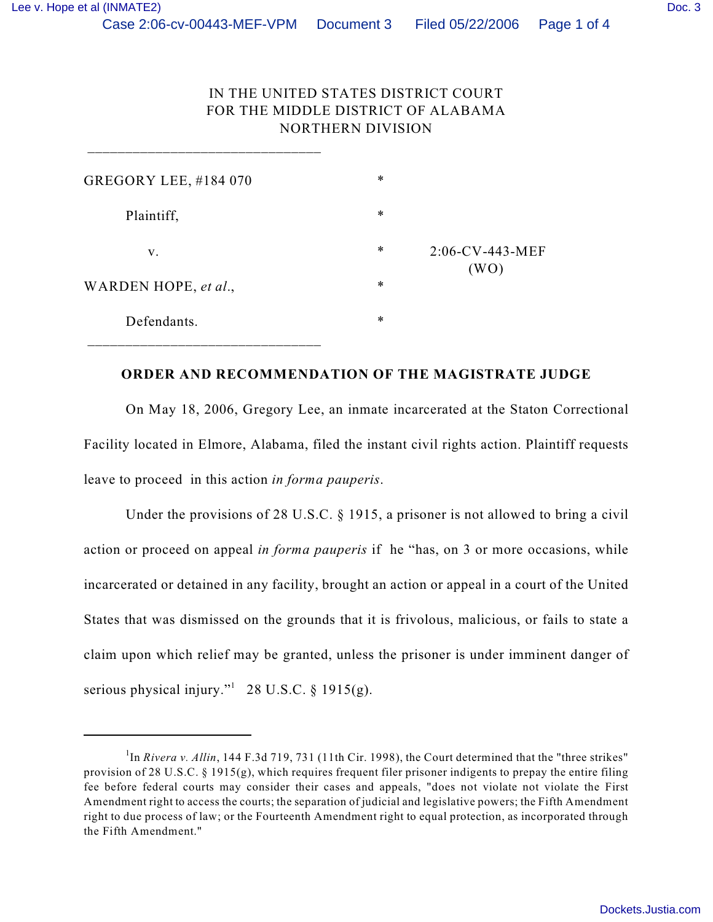## IN THE UNITED STATES DISTRICT COURT FOR THE MIDDLE DISTRICT OF ALABAMA NORTHERN DIVISION

| <b>GREGORY LEE, #184 070</b> | $\ast$ |                            |
|------------------------------|--------|----------------------------|
| Plaintiff,                   | $\ast$ |                            |
| V.                           | $\ast$ | $2:06$ -CV-443-MEF<br>(WO) |
| WARDEN HOPE, et al.,         | $\ast$ |                            |
| Defendants.                  | $\ast$ |                            |

\_\_\_\_\_\_\_\_\_\_\_\_\_\_\_\_\_\_\_\_\_\_\_\_\_\_\_\_\_\_\_

## **ORDER AND RECOMMENDATION OF THE MAGISTRATE JUDGE**

On May 18, 2006, Gregory Lee, an inmate incarcerated at the Staton Correctional Facility located in Elmore, Alabama, filed the instant civil rights action. Plaintiff requests leave to proceed in this action *in forma pauperis*.

Under the provisions of 28 U.S.C. § 1915, a prisoner is not allowed to bring a civil action or proceed on appeal *in forma pauperis* if he "has, on 3 or more occasions, while incarcerated or detained in any facility, brought an action or appeal in a court of the United States that was dismissed on the grounds that it is frivolous, malicious, or fails to state a claim upon which relief may be granted, unless the prisoner is under imminent danger of serious physical injury." $1$  28 U.S.C. § 1915(g).

 ${}^{1}$ In *Rivera v. Allin*, 144 F.3d 719, 731 (11th Cir. 1998), the Court determined that the "three strikes" provision of 28 U.S.C. § 1915(g), which requires frequent filer prisoner indigents to prepay the entire filing fee before federal courts may consider their cases and appeals, "does not violate not violate the First Amendment right to access the courts; the separation of judicial and legislative powers; the Fifth Amendment right to due process of law; or the Fourteenth Amendment right to equal protection, as incorporated through the Fifth Amendment."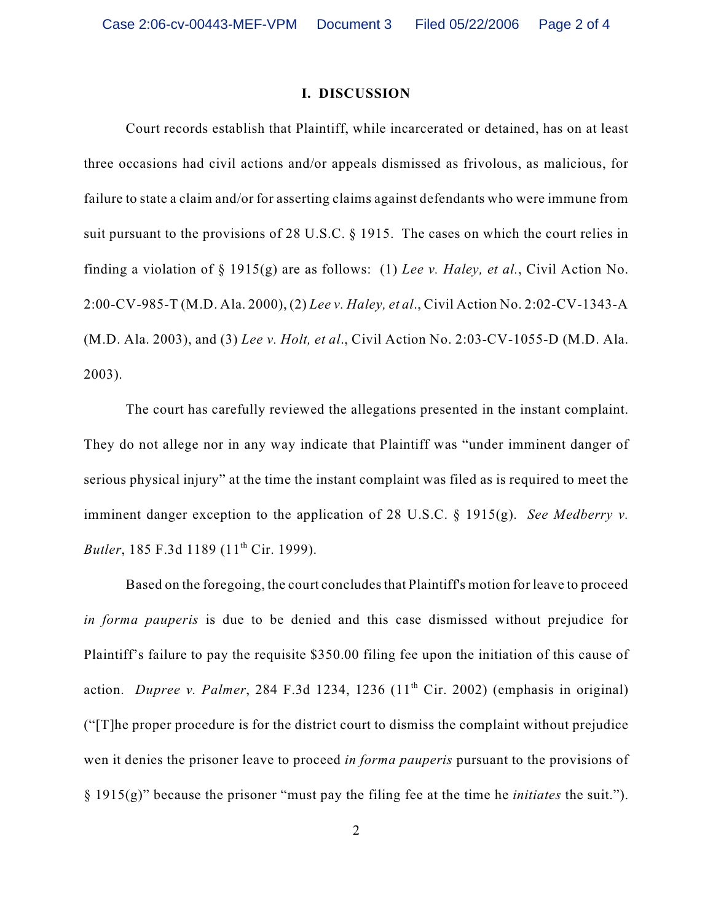## **I. DISCUSSION**

Court records establish that Plaintiff, while incarcerated or detained, has on at least three occasions had civil actions and/or appeals dismissed as frivolous, as malicious, for failure to state a claim and/or for asserting claims against defendants who were immune from suit pursuant to the provisions of 28 U.S.C. § 1915. The cases on which the court relies in finding a violation of § 1915(g) are as follows: (1) *Lee v. Haley, et al.*, Civil Action No. 2:00-CV-985-T (M.D. Ala. 2000), (2) *Lee v. Haley, et al*., Civil Action No. 2:02-CV-1343-A (M.D. Ala. 2003), and (3) *Lee v. Holt, et al*., Civil Action No. 2:03-CV-1055-D (M.D. Ala. 2003).

The court has carefully reviewed the allegations presented in the instant complaint. They do not allege nor in any way indicate that Plaintiff was "under imminent danger of serious physical injury" at the time the instant complaint was filed as is required to meet the imminent danger exception to the application of 28 U.S.C. § 1915(g). *See Medberry v. Butler*, 185 F.3d 1189 (11<sup>th</sup> Cir. 1999).

Based on the foregoing, the court concludes that Plaintiff's motion for leave to proceed *in forma pauperis* is due to be denied and this case dismissed without prejudice for Plaintiff's failure to pay the requisite \$350.00 filing fee upon the initiation of this cause of action. *Dupree v. Palmer*, 284 F.3d 1234, 1236  $(11<sup>th</sup> Cir. 2002)$  (emphasis in original) ("[T]he proper procedure is for the district court to dismiss the complaint without prejudice wen it denies the prisoner leave to proceed *in forma pauperis* pursuant to the provisions of § 1915(g)" because the prisoner "must pay the filing fee at the time he *initiates* the suit.").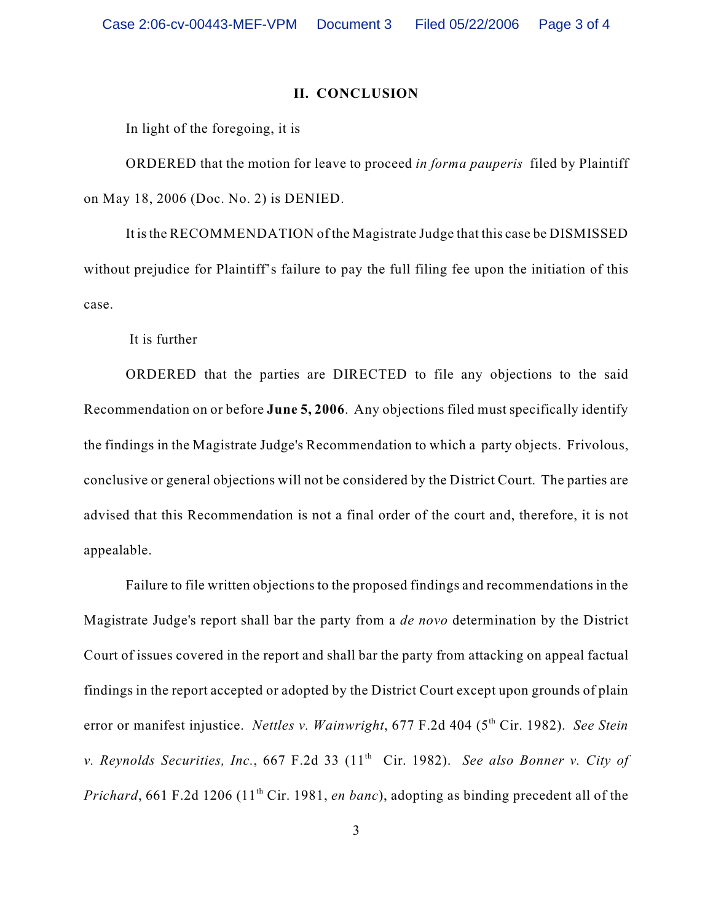## **II. CONCLUSION**

In light of the foregoing, it is

ORDERED that the motion for leave to proceed *in forma pauperis* filed by Plaintiff on May 18, 2006 (Doc. No. 2) is DENIED.

It is the RECOMMENDATION of the Magistrate Judge that this case be DISMISSED without prejudice for Plaintiff's failure to pay the full filing fee upon the initiation of this case.

It is further

ORDERED that the parties are DIRECTED to file any objections to the said Recommendation on or before **June 5, 2006**. Any objections filed must specifically identify the findings in the Magistrate Judge's Recommendation to which a party objects. Frivolous, conclusive or general objections will not be considered by the District Court. The parties are advised that this Recommendation is not a final order of the court and, therefore, it is not appealable.

Failure to file written objections to the proposed findings and recommendations in the Magistrate Judge's report shall bar the party from a *de novo* determination by the District Court of issues covered in the report and shall bar the party from attacking on appeal factual findings in the report accepted or adopted by the District Court except upon grounds of plain error or manifest injustice. *Nettles v. Wainwright*, 677 F.2d 404 (5<sup>th</sup> Cir. 1982). *See Stein v. Reynolds Securities, Inc., 667 F.2d 33 (11<sup>th</sup> Cir. 1982). See also Bonner v. City of Prichard*, 661 F.2d 1206 (11<sup>th</sup> Cir. 1981, *en banc*), adopting as binding precedent all of the